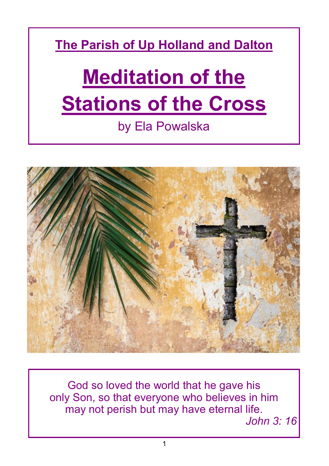**The Parish of Up Holland and Dalton**

# **Meditation of the Stations of the Cross**

## by Ela Powalska



God so loved the world that he gave his only Son, so that everyone who believes in him may not perish but may have eternal life.

*John 3: 16*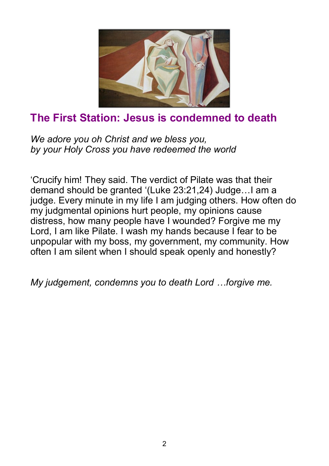

#### **The First Station: Jesus is condemned to death**

*We adore you oh Christ and we bless you, by your Holy Cross you have redeemed the world* 

'Crucify him! They said. The verdict of Pilate was that their demand should be granted '(Luke 23:21,24) Judge…I am a judge. Every minute in my life I am judging others. How often do my judgmental opinions hurt people, my opinions cause distress, how many people have I wounded? Forgive me my Lord, I am like Pilate. I wash my hands because I fear to be unpopular with my boss, my government, my community. How often I am silent when I should speak openly and honestly?

*My judgement, condemns you to death Lord …forgive me.*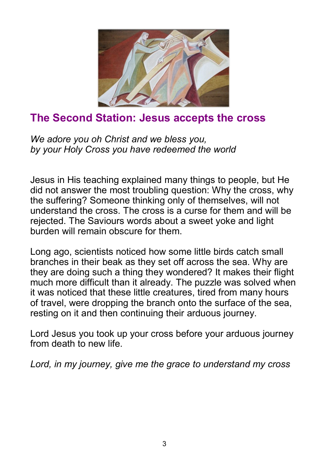

## **The Second Station: Jesus accepts the cross**

*We adore you oh Christ and we bless you, by your Holy Cross you have redeemed the world* 

Jesus in His teaching explained many things to people, but He did not answer the most troubling question: Why the cross, why the suffering? Someone thinking only of themselves, will not understand the cross. The cross is a curse for them and will be rejected. The Saviours words about a sweet yoke and light burden will remain obscure for them.

Long ago, scientists noticed how some little birds catch small branches in their beak as they set off across the sea. Why are they are doing such a thing they wondered? It makes their flight much more difficult than it already. The puzzle was solved when it was noticed that these little creatures, tired from many hours of travel, were dropping the branch onto the surface of the sea, resting on it and then continuing their arduous journey.

Lord Jesus you took up your cross before your arduous journey from death to new life.

*Lord, in my journey, give me the grace to understand my cross*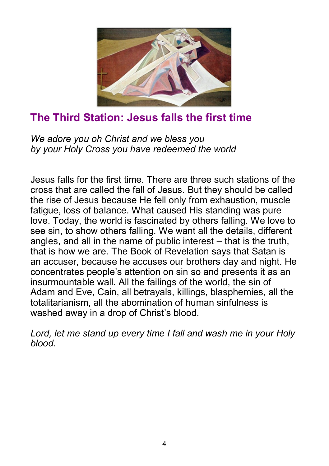

## **The Third Station: Jesus falls the first time**

*We adore you oh Christ and we bless you by your Holy Cross you have redeemed the world* 

Jesus falls for the first time. There are three such stations of the cross that are called the fall of Jesus. But they should be called the rise of Jesus because He fell only from exhaustion, muscle fatigue, loss of balance. What caused His standing was pure love. Today, the world is fascinated by others falling. We love to see sin, to show others falling. We want all the details, different angles, and all in the name of public interest – that is the truth, that is how we are. The Book of Revelation says that Satan is an accuser, because he accuses our brothers day and night. He concentrates people's attention on sin so and presents it as an insurmountable wall. All the failings of the world, the sin of Adam and Eve, Cain, all betrayals, killings, blasphemies, all the totalitarianism, all the abomination of human sinfulness is washed away in a drop of Christ's blood.

*Lord, let me stand up every time I fall and wash me in your Holy blood.*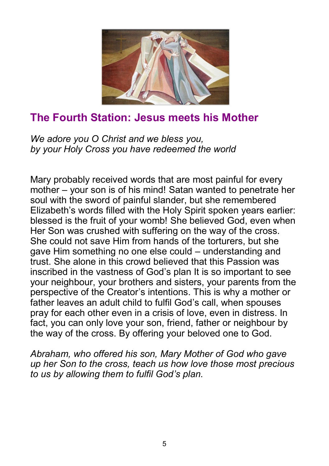

#### **The Fourth Station: Jesus meets his Mother**

*We adore you O Christ and we bless you, by your Holy Cross you have redeemed the world* 

Mary probably received words that are most painful for every mother – your son is of his mind! Satan wanted to penetrate her soul with the sword of painful slander, but she remembered Elizabeth's words filled with the Holy Spirit spoken years earlier: blessed is the fruit of your womb! She believed God, even when Her Son was crushed with suffering on the way of the cross. She could not save Him from hands of the torturers, but she gave Him something no one else could – understanding and trust. She alone in this crowd believed that this Passion was inscribed in the vastness of God's plan It is so important to see your neighbour, your brothers and sisters, your parents from the perspective of the Creator's intentions. This is why a mother or father leaves an adult child to fulfil God's call, when spouses pray for each other even in a crisis of love, even in distress. In fact, you can only love your son, friend, father or neighbour by the way of the cross. By offering your beloved one to God.

*Abraham, who offered his son, Mary Mother of God who gave up her Son to the cross, teach us how love those most precious to us by allowing them to fulfil God's plan.*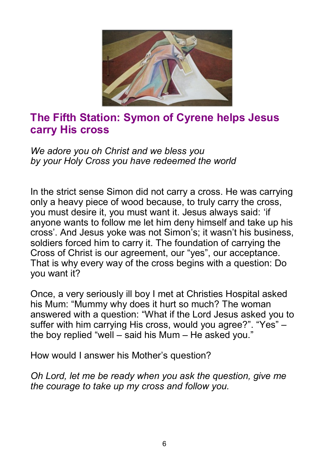

#### **The Fifth Station: Symon of Cyrene helps Jesus carry His cross**

*We adore you oh Christ and we bless you by your Holy Cross you have redeemed the world* 

In the strict sense Simon did not carry a cross. He was carrying only a heavy piece of wood because, to truly carry the cross, you must desire it, you must want it. Jesus always said: 'if anyone wants to follow me let him deny himself and take up his cross'. And Jesus yoke was not Simon's; it wasn't his business, soldiers forced him to carry it. The foundation of carrying the Cross of Christ is our agreement, our "yes", our acceptance. That is why every way of the cross begins with a question: Do you want it?

Once, a very seriously ill boy I met at Christies Hospital asked his Mum: "Mummy why does it hurt so much? The woman answered with a question: "What if the Lord Jesus asked you to suffer with him carrying His cross, would you agree?". "Yes" – the boy replied "well – said his Mum – He asked you."

How would I answer his Mother's question?

*Oh Lord, let me be ready when you ask the question, give me the courage to take up my cross and follow you.*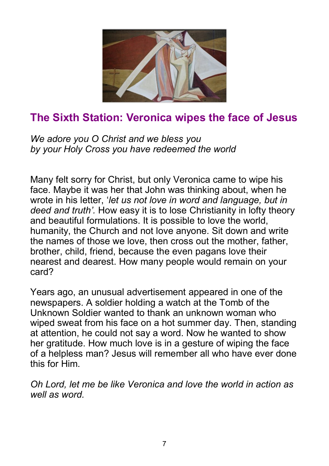

## **The Sixth Station: Veronica wipes the face of Jesus**

*We adore you O Christ and we bless you by your Holy Cross you have redeemed the world* 

Many felt sorry for Christ, but only Veronica came to wipe his face. Maybe it was her that John was thinking about, when he wrote in his letter, '*let us not love in word and language, but in deed and truth'.* How easy it is to lose Christianity in lofty theory and beautiful formulations. It is possible to love the world, humanity, the Church and not love anyone. Sit down and write the names of those we love, then cross out the mother, father, brother, child, friend, because the even pagans love their nearest and dearest. How many people would remain on your card?

Years ago, an unusual advertisement appeared in one of the newspapers. A soldier holding a watch at the Tomb of the Unknown Soldier wanted to thank an unknown woman who wiped sweat from his face on a hot summer day. Then, standing at attention, he could not say a word. Now he wanted to show her gratitude. How much love is in a gesture of wiping the face of a helpless man? Jesus will remember all who have ever done this for Him.

*Oh Lord, let me be like Veronica and love the world in action as well as word.*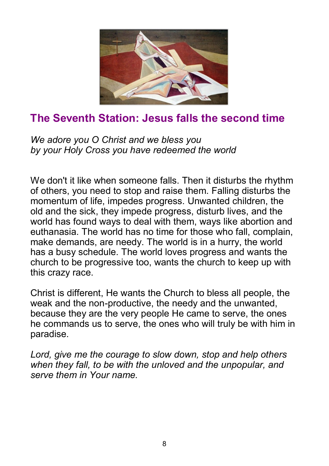

## **The Seventh Station: Jesus falls the second time**

*We adore you O Christ and we bless you by your Holy Cross you have redeemed the world* 

We don't it like when someone falls. Then it disturbs the rhythm of others, you need to stop and raise them. Falling disturbs the momentum of life, impedes progress. Unwanted children, the old and the sick, they impede progress, disturb lives, and the world has found ways to deal with them, ways like abortion and euthanasia. The world has no time for those who fall, complain, make demands, are needy. The world is in a hurry, the world has a busy schedule. The world loves progress and wants the church to be progressive too, wants the church to keep up with this crazy race.

Christ is different, He wants the Church to bless all people, the weak and the non-productive, the needy and the unwanted, because they are the very people He came to serve, the ones he commands us to serve, the ones who will truly be with him in paradise.

*Lord, give me the courage to slow down, stop and help others when they fall, to be with the unloved and the unpopular, and serve them in Your name.*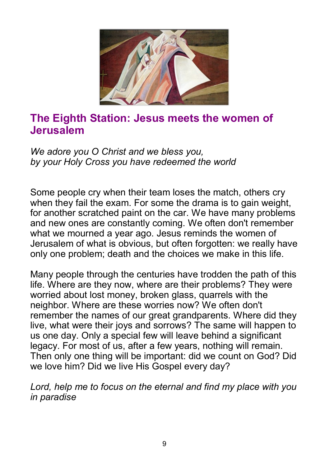

#### **The Eighth Station: Jesus meets the women of Jerusalem**

*We adore you O Christ and we bless you, by your Holy Cross you have redeemed the world* 

Some people cry when their team loses the match, others cry when they fail the exam. For some the drama is to gain weight, for another scratched paint on the car. We have many problems and new ones are constantly coming. We often don't remember what we mourned a year ago. Jesus reminds the women of Jerusalem of what is obvious, but often forgotten: we really have only one problem; death and the choices we make in this life.

Many people through the centuries have trodden the path of this life. Where are they now, where are their problems? They were worried about lost money, broken glass, quarrels with the neighbor. Where are these worries now? We often don't remember the names of our great grandparents. Where did they live, what were their joys and sorrows? The same will happen to us one day. Only a special few will leave behind a significant legacy. For most of us, after a few years, nothing will remain. Then only one thing will be important: did we count on God? Did we love him? Did we live His Gospel every day?

*Lord, help me to focus on the eternal and find my place with you in paradise*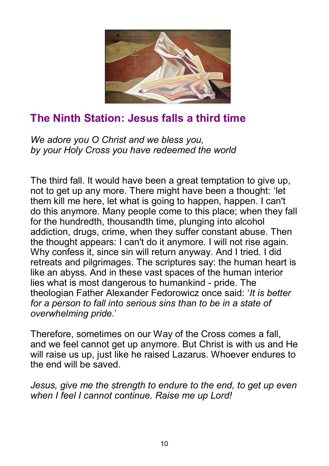

## **The Ninth Station: Jesus falls a third time**

*We adore you O Christ and we bless you, by your Holy Cross you have redeemed the world* 

The third fall. It would have been a great temptation to give up, not to get up any more. There might have been a thought: 'let them kill me here, let what is going to happen, happen. I can't do this anymore. Many people come to this place; when they fall for the hundredth, thousandth time, plunging into alcohol addiction, drugs, crime, when they suffer constant abuse. Then the thought appears: I can't do it anymore. I will not rise again. Why confess it, since sin will return anyway. And I tried. I did retreats and pilgrimages. The scriptures say: the human heart is like an abyss. And in these vast spaces of the human interior lies what is most dangerous to humankind - pride. The theologian Father Alexander Fedorowicz once said: '*It is better for a person to fall into serious sins than to be in a state of overwhelming pride*.'

Therefore, sometimes on our Way of the Cross comes a fall, and we feel cannot get up anymore. But Christ is with us and He will raise us up, just like he raised Lazarus. Whoever endures to the end will be saved.

*Jesus, give me the strength to endure to the end, to get up even when I feel I cannot continue. Raise me up Lord!*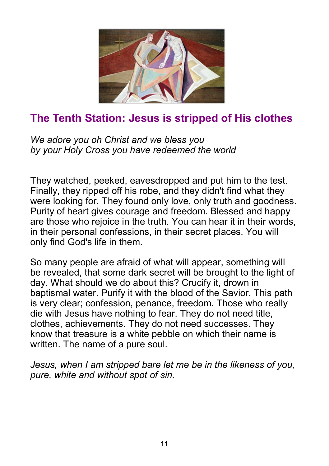

## **The Tenth Station: Jesus is stripped of His clothes**

*We adore you oh Christ and we bless you by your Holy Cross you have redeemed the world* 

They watched, peeked, eavesdropped and put him to the test. Finally, they ripped off his robe, and they didn't find what they were looking for. They found only love, only truth and goodness. Purity of heart gives courage and freedom. Blessed and happy are those who rejoice in the truth. You can hear it in their words, in their personal confessions, in their secret places. You will only find God's life in them.

So many people are afraid of what will appear, something will be revealed, that some dark secret will be brought to the light of day. What should we do about this? Crucify it, drown in baptismal water. Purify it with the blood of the Savior. This path is very clear; confession, penance, freedom. Those who really die with Jesus have nothing to fear. They do not need title, clothes, achievements. They do not need successes. They know that treasure is a white pebble on which their name is written. The name of a pure soul.

*Jesus, when I am stripped bare let me be in the likeness of you, pure, white and without spot of sin.*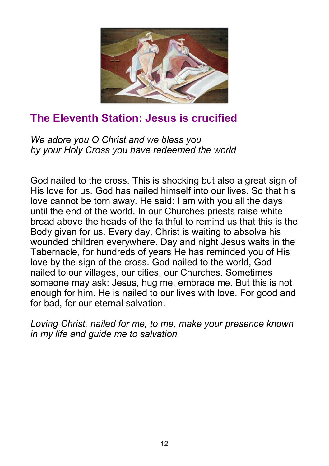

## **The Eleventh Station: Jesus is crucified**

*We adore you O Christ and we bless you by your Holy Cross you have redeemed the world* 

God nailed to the cross. This is shocking but also a great sign of His love for us. God has nailed himself into our lives. So that his love cannot be torn away. He said: I am with you all the days until the end of the world. In our Churches priests raise white bread above the heads of the faithful to remind us that this is the Body given for us. Every day, Christ is waiting to absolve his wounded children everywhere. Day and night Jesus waits in the Tabernacle, for hundreds of years He has reminded you of His love by the sign of the cross. God nailed to the world, God nailed to our villages, our cities, our Churches. Sometimes someone may ask: Jesus, hug me, embrace me. But this is not enough for him. He is nailed to our lives with love. For good and for bad, for our eternal salvation.

*Loving Christ, nailed for me, to me, make your presence known in my life and guide me to salvation.*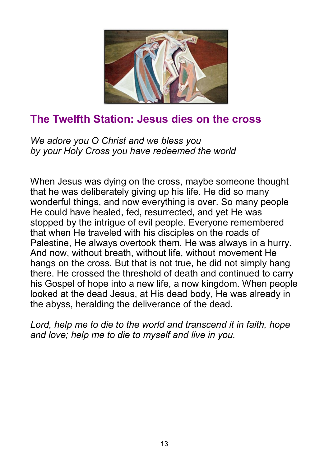

#### **The Twelfth Station: Jesus dies on the cross**

*We adore you O Christ and we bless you by your Holy Cross you have redeemed the world* 

When Jesus was dying on the cross, maybe someone thought that he was deliberately giving up his life. He did so many wonderful things, and now everything is over. So many people He could have healed, fed, resurrected, and yet He was stopped by the intrigue of evil people. Everyone remembered that when He traveled with his disciples on the roads of Palestine, He always overtook them, He was always in a hurry. And now, without breath, without life, without movement He hangs on the cross. But that is not true, he did not simply hang there. He crossed the threshold of death and continued to carry his Gospel of hope into a new life, a now kingdom. When people looked at the dead Jesus, at His dead body, He was already in the abyss, heralding the deliverance of the dead.

*Lord, help me to die to the world and transcend it in faith, hope and love; help me to die to myself and live in you.*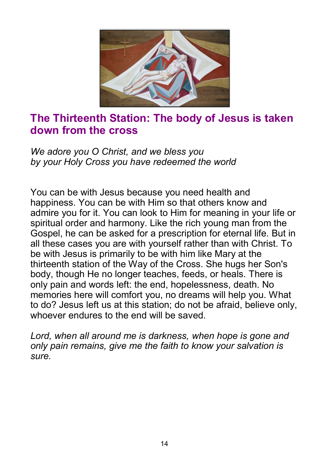

#### **The Thirteenth Station: The body of Jesus is taken down from the cross**

*We adore you O Christ, and we bless you by your Holy Cross you have redeemed the world*

You can be with Jesus because you need health and happiness. You can be with Him so that others know and admire you for it. You can look to Him for meaning in your life or spiritual order and harmony. Like the rich young man from the Gospel, he can be asked for a prescription for eternal life. But in all these cases you are with yourself rather than with Christ. To be with Jesus is primarily to be with him like Mary at the thirteenth station of the Way of the Cross. She hugs her Son's body, though He no longer teaches, feeds, or heals. There is only pain and words left: the end, hopelessness, death. No memories here will comfort you, no dreams will help you. What to do? Jesus left us at this station; do not be afraid, believe only, whoever endures to the end will be saved.

*Lord, when all around me is darkness, when hope is gone and only pain remains, give me the faith to know your salvation is sure.*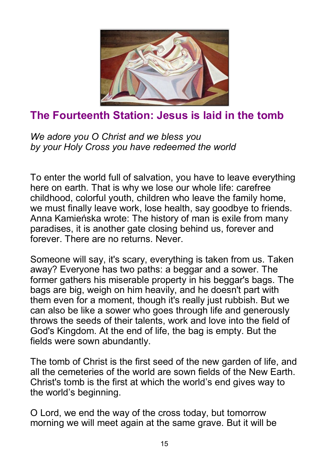

## **The Fourteenth Station: Jesus is laid in the tomb**

*We adore you O Christ and we bless you by your Holy Cross you have redeemed the world* 

To enter the world full of salvation, you have to leave everything here on earth. That is why we lose our whole life: carefree childhood, colorful youth, children who leave the family home, we must finally leave work, lose health, say goodbye to friends. Anna Kamieńska wrote: The history of man is exile from many paradises, it is another gate closing behind us, forever and forever. There are no returns. Never.

Someone will say, it's scary, everything is taken from us. Taken away? Everyone has two paths: a beggar and a sower. The former gathers his miserable property in his beggar's bags. The bags are big, weigh on him heavily, and he doesn't part with them even for a moment, though it's really just rubbish. But we can also be like a sower who goes through life and generously throws the seeds of their talents, work and love into the field of God's Kingdom. At the end of life, the bag is empty. But the fields were sown abundantly.

The tomb of Christ is the first seed of the new garden of life, and all the cemeteries of the world are sown fields of the New Earth. Christ's tomb is the first at which the world's end gives way to the world's beginning.

O Lord, we end the way of the cross today, but tomorrow morning we will meet again at the same grave. But it will be